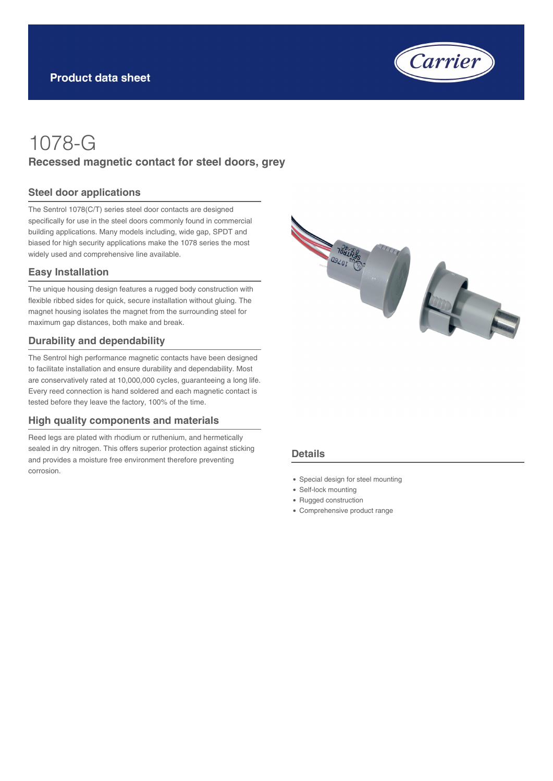

# 1078-G **Recessed magnetic contact for steel doors, grey**

#### **Steel door applications**

The Sentrol 1078(C/T) series steel door contacts are designed specifically for use in the steel doors commonly found in commercial building applications. Many models including, wide gap, SPDT and biased for high security applications make the 1078 series the most widely used and comprehensive line available.

#### **Easy Installation**

The unique housing design features a rugged body construction with flexible ribbed sides for quick, secure installation without gluing. The magnet housing isolates the magnet from the surrounding steel for maximum gap distances, both make and break.

#### **Durability and dependability**

The Sentrol high performance magnetic contacts have been designed to facilitate installation and ensure durability and dependability. Most are conservatively rated at 10,000,000 cycles, guaranteeing a long life. Every reed connection is hand soldered and each magnetic contact is tested before they leave the factory, 100% of the time.

#### **High quality components and materials**

Reed legs are plated with rhodium or ruthenium, and hermetically sealed in dry nitrogen. This offers superior protection against sticking and provides a moisture free environment therefore preventing corrosion.



#### **Details**

- Special design for steel mounting
- Self-lock mounting
- Rugged construction
- Comprehensive product range